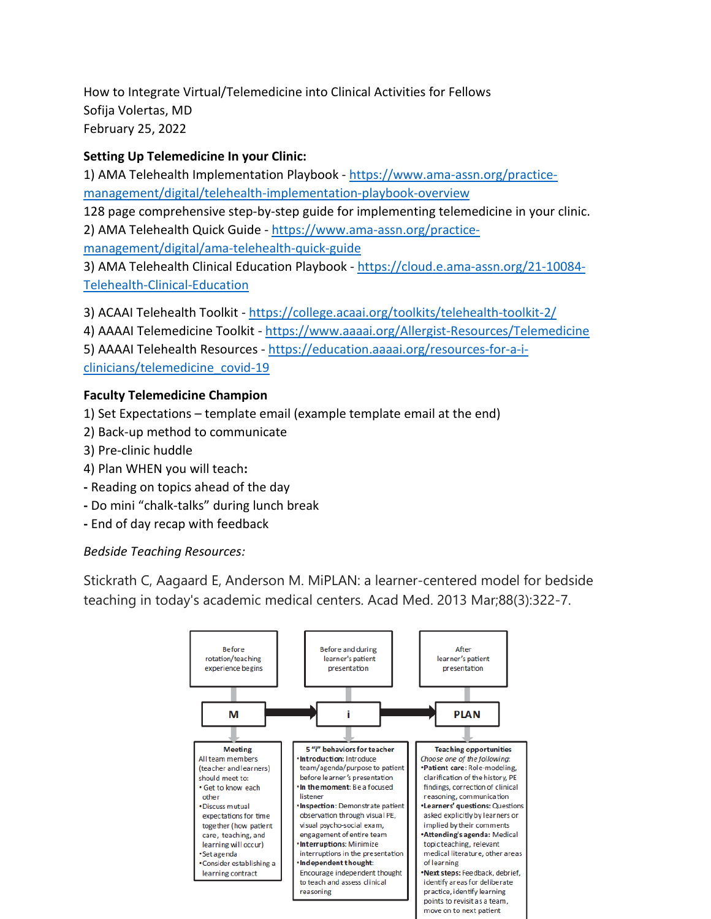How to Integrate Virtual/Telemedicine into Clinical Activities for Fellows Sofija Volertas, MD February 25, 2022

## **Setting Up Telemedicine In your Clinic:**

1) AMA Telehealth Implementation Playbook - [https://www.ama-assn.org/practice](https://www.ama-assn.org/practice-management/digital/telehealth-implementation-playbook-overview)[management/digital/telehealth-implementation-playbook-overview](https://www.ama-assn.org/practice-management/digital/telehealth-implementation-playbook-overview) 128 page comprehensive step-by-step guide for implementing telemedicine in your clinic. 2) AMA Telehealth Quick Guide - [https://www.ama-assn.org/practice](https://www.ama-assn.org/practice-management/digital/ama-telehealth-quick-guide)[management/digital/ama-telehealth-quick-guide](https://www.ama-assn.org/practice-management/digital/ama-telehealth-quick-guide) 3) AMA Telehealth Clinical Education Playbook - [https://cloud.e.ama-assn.org/21-10084-](https://cloud.e.ama-assn.org/21-10084-Telehealth-Clinical-Education) [Telehealth-Clinical-Education](https://cloud.e.ama-assn.org/21-10084-Telehealth-Clinical-Education)

3) ACAAI Telehealth Toolkit - <https://college.acaai.org/toolkits/telehealth-toolkit-2/>

4) AAAAI Telemedicine Toolkit - <https://www.aaaai.org/Allergist-Resources/Telemedicine>

5) AAAAI Telehealth Resources - [https://education.aaaai.org/resources-for-a-i](https://education.aaaai.org/resources-for-a-i-clinicians/telemedicine_covid-19)[clinicians/telemedicine\\_covid-19](https://education.aaaai.org/resources-for-a-i-clinicians/telemedicine_covid-19)

# **Faculty Telemedicine Champion**

1) Set Expectations – template email (example template email at the end)

- 2) Back-up method to communicate
- 3) Pre-clinic huddle
- 4) Plan WHEN you will teach**:**
- **-** Reading on topics ahead of the day
- **-** Do mini "chalk-talks" during lunch break
- **-** End of day recap with feedback

*Bedside Teaching Resources:*

Stickrath C, Aagaard E, Anderson M. MiPLAN: a learner-centered model for bedside teaching in today's academic medical centers. Acad Med. 2013 Mar;88(3):322-7.

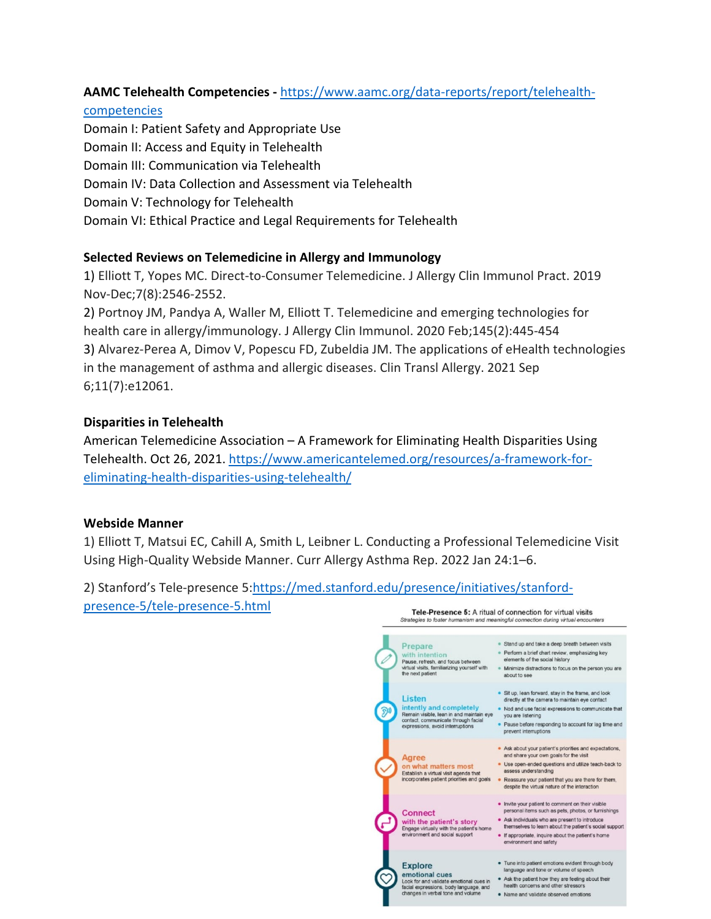# **AAMC Telehealth Competencies -** [https://www.aamc.org/data-reports/report/telehealth-](https://www.aamc.org/data-reports/report/telehealth-competencies)

### [competencies](https://www.aamc.org/data-reports/report/telehealth-competencies)

Domain I: Patient Safety and Appropriate Use Domain II: Access and Equity in Telehealth Domain III: Communication via Telehealth Domain IV: Data Collection and Assessment via Telehealth Domain V: Technology for Telehealth Domain VI: Ethical Practice and Legal Requirements for Telehealth

## **Selected Reviews on Telemedicine in Allergy and Immunology**

1) Elliott T, Yopes MC. Direct-to-Consumer Telemedicine. J Allergy Clin Immunol Pract. 2019 Nov-Dec;7(8):2546-2552.

2) Portnoy JM, Pandya A, Waller M, Elliott T. Telemedicine and emerging technologies for health care in allergy/immunology. J Allergy Clin Immunol. 2020 Feb;145(2):445-454 3) Alvarez-Perea A, Dimov V, Popescu FD, Zubeldia JM. The applications of eHealth technologies in the management of asthma and allergic diseases. Clin Transl Allergy. 2021 Sep 6;11(7):e12061.

## **Disparities in Telehealth**

American Telemedicine Association – A Framework for Eliminating Health Disparities Using Telehealth. Oct 26, 2021. [https://www.americantelemed.org/resources/a-framework-for](https://www.americantelemed.org/resources/a-framework-for-eliminating-health-disparities-using-telehealth/)[eliminating-health-disparities-using-telehealth/](https://www.americantelemed.org/resources/a-framework-for-eliminating-health-disparities-using-telehealth/)

## **Webside Manner**

1) Elliott T, Matsui EC, Cahill A, Smith L, Leibner L. Conducting a Professional Telemedicine Visit Using High-Quality Webside Manner. Curr Allergy Asthma Rep. 2022 Jan 24:1–6.

## 2) Stanford's Tele-presence 5[:https://med.stanford.edu/presence/initiatives/stanford](https://med.stanford.edu/presence/initiatives/stanford-presence-5/tele-presence-5.html)[presence-5/tele-presence-5.html](https://med.stanford.edu/presence/initiatives/stanford-presence-5/tele-presence-5.html)

Tele-Presence 5: A ritual of connection for virtual visits Strategies to foster humanism and meaningful connection during virtual encounters . Stand up and take a deep breath between visits Prepare • Startu up and take a deep breath between visite<br>• Perform a brief chart review, emphasizing key<br>• elements of the social history  $\begin{tabular}{ll} \hline \textbf{with}\ \textit{intention} & \textbf{Perform}\ \textit{abriet}\ \textit{that review},\ \textit{emphasing key} \\ \textbf{Pause},\ \textit{refresh},\ \textit{and focus between} & \textit{elements of the social history} \\ \textit{with } \textit{with } \textit{in} \ \textit{shmulating yourself with} \end{tabular}$ • Sit up, lean forward, stay in the frame, and look Listen directly at the camera to maintain eye contact<br>
intentity and completely <br>  $\bullet$  Nod and use facial expressions to communicate that<br>
Remain wishe, lean in and maintain eye ou are listening<br>
contact, communicate throu **Listen** directly at the camera to maintain eye contact • Ask about your patient's priorities and expectations, and share your own goals for the visit **Agree** · Use open-ended questions and utilize teach-back to on what matters most on what matters most<br>
Establish a virtual visit agenda that<br>
isseess understanding<br>
incorporates patient priorities and goals<br>
issess understanding<br>
despite the virtual nature of the interaction<br>
despite the virtual nature . Invite your patient to comment on their visible personal items such as pets, photos, or furnishings **Connect** • Ask individuals who are present to introduce<br>themselves to learn about the patient's social support with the patient's story<br>Engage virtually with the patient's home<br>environment and social support • If appropriate, inquire about the patient's home<br>environment and safety • Tune into patient emotions evident through body<br>language and tone or volume of speech **Explore**  $[language and tone or volume of speech] \n **convolutional cues**\n **4** As the path and isolated emotional cycles (for and values in the same side) is 4.\n **4** The point is 4.\n **4** The point is 4.\n **4**$